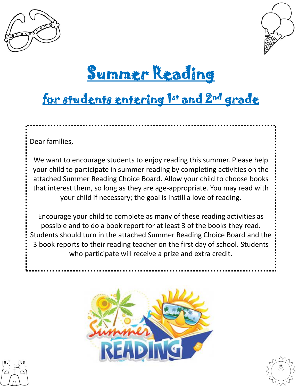



# Summer Reading

## for students entering 1st and 2<sup>nd</sup> grade

Dear families,

We want to encourage students to enjoy reading this summer. Please help your child to participate in summer reading by completing activities on the attached Summer Reading Choice Board. Allow your child to choose books that interest them, so long as they are age-appropriate. You may read with your child if necessary; the goal is instill a love of reading.

Encourage your child to complete as many of these reading activities as possible and to do a book report for at least 3 of the books they read. Students should turn in the attached Summer Reading Choice Board and the 3 book reports to their reading teacher on the first day of school. Students who participate will receive a prize and extra credit.





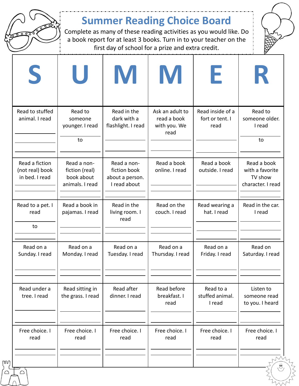

#### **Summer Reading Choice Board**

Complete as many of these reading activities as you would like. Do a book report for at least 3 books. Turn in to your teacher on the first day of school for a prize and extra credit.



|                                  |                 | U                                                              | M                                                              | M                                                      | H.                                          | K                                                              |
|----------------------------------|-----------------|----------------------------------------------------------------|----------------------------------------------------------------|--------------------------------------------------------|---------------------------------------------|----------------------------------------------------------------|
| animal. I read                   | Read to stuffed | Read to<br>someone<br>younger. I read<br>to                    | Read in the<br>dark with a<br>flashlight. I read               | Ask an adult to<br>read a book<br>with you. We<br>read | Read inside of a<br>fort or tent. I<br>read | Read to<br>someone older.<br>I read<br>to                      |
| Read a fiction<br>in bed. I read | (not real) book | Read a non-<br>fiction (real)<br>book about<br>animals. I read | Read a non-<br>fiction book<br>about a person.<br>I read about | Read a book<br>online. I read                          | Read a book<br>outside. I read              | Read a book<br>with a favorite<br>TV show<br>character. I read |
| Read to a pet. I<br>read<br>to   |                 | Read a book in<br>pajamas. I read                              | Read in the<br>living room. I<br>read                          | Read on the<br>couch. I read                           | Read wearing a<br>hat. I read               | Read in the car.<br>I read                                     |
| Read on a<br>Sunday. I read      |                 | Read on a<br>Monday. I read                                    | Read on a<br>Tuesday. I read                                   | Read on a<br>Thursday. I read                          | Read on a<br>Friday. I read                 | Read on<br>Saturday. I read                                    |
| Read under a<br>tree. I read     |                 | Read sitting in<br>the grass. I read                           | Read after<br>dinner. I read                                   | Read before<br>breakfast. I<br>read                    | Read to a<br>stuffed animal.<br>I read      | Listen to<br>someone read<br>to you. I heard                   |
| Free choice. I<br>read<br>ΓwJ    |                 | Free choice. I<br>read                                         | Free choice. I<br>read                                         | Free choice. I<br>read                                 | Free choice. I<br>read                      | Free choice. I<br>read                                         |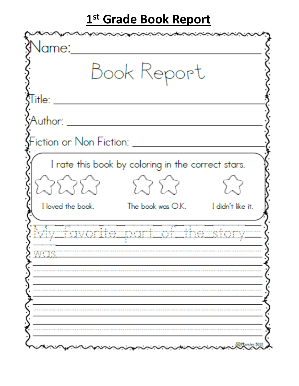### 1st Grade Book Report

| <b>J</b> ame:                                      | مبجحجت                              |  |
|----------------------------------------------------|-------------------------------------|--|
|                                                    | Book Report                         |  |
| ${\sf Title:} \ \_\_\_\_\_\_\$                     |                                     |  |
| Author:                                            |                                     |  |
| Fiction or Non Fiction: ________                   |                                     |  |
| I rate this book by coloring in the correct stars. |                                     |  |
| <i>타타타</i>                                         | 5.35.3                              |  |
| I loved the book.                                  | The book was O.K. I didn't like it. |  |
| My favorite part of the story.                     |                                     |  |
|                                                    |                                     |  |
|                                                    |                                     |  |
|                                                    |                                     |  |
|                                                    |                                     |  |
|                                                    |                                     |  |